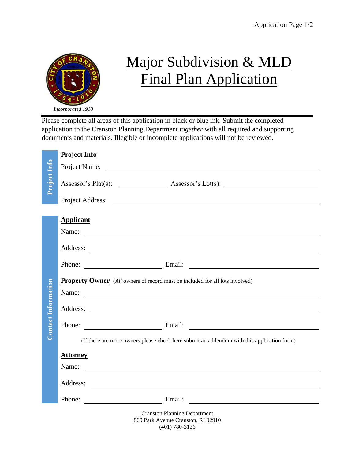

## Major Subdivision & MLD Final Plan Application

Please complete all areas of this application in black or blue ink. Submit the completed application to the Cranston Planning Department *together* with all required and supporting documents and materials. Illegible or incomplete applications will not be reviewed.

|                            | <b>Project Info</b>                                                                          |  |
|----------------------------|----------------------------------------------------------------------------------------------|--|
|                            | Project Name:                                                                                |  |
| Project Info               |                                                                                              |  |
|                            | Project Address:                                                                             |  |
|                            |                                                                                              |  |
|                            | <b>Applicant</b>                                                                             |  |
|                            | Name:                                                                                        |  |
|                            |                                                                                              |  |
|                            | Phone: Email: Email:                                                                         |  |
|                            | <b>Property Owner</b> (All owners of record must be included for all lots involved)<br>Name: |  |
| <b>Contact Information</b> |                                                                                              |  |
|                            | Phone: Email: Email:                                                                         |  |
|                            | (If there are more owners please check here submit an addendum with this application form)   |  |
|                            | <b>Attorney</b>                                                                              |  |
|                            | Name:                                                                                        |  |
|                            |                                                                                              |  |
|                            | Phone: Email: Email:                                                                         |  |
|                            | <b>Cranston Planning Department</b><br>869 Park Avenue Cranston, RI 02910                    |  |

(401) 780-3136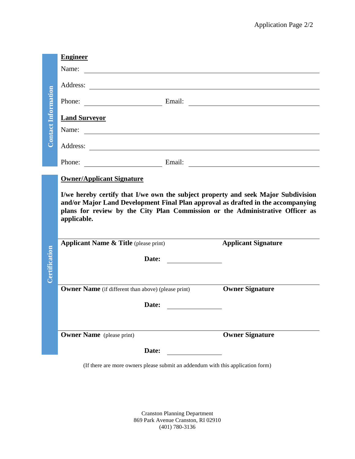|                            | <b>Engineer</b>                  |                                                            |                                                                                                                                  |                                                                                                                                                                                                                                                        |
|----------------------------|----------------------------------|------------------------------------------------------------|----------------------------------------------------------------------------------------------------------------------------------|--------------------------------------------------------------------------------------------------------------------------------------------------------------------------------------------------------------------------------------------------------|
| <b>Contact Information</b> | Name:                            |                                                            |                                                                                                                                  |                                                                                                                                                                                                                                                        |
|                            |                                  |                                                            |                                                                                                                                  |                                                                                                                                                                                                                                                        |
|                            |                                  |                                                            |                                                                                                                                  | Phone: Email: Email:                                                                                                                                                                                                                                   |
|                            | <b>Land Surveyor</b>             |                                                            |                                                                                                                                  |                                                                                                                                                                                                                                                        |
|                            |                                  |                                                            |                                                                                                                                  |                                                                                                                                                                                                                                                        |
|                            |                                  |                                                            |                                                                                                                                  |                                                                                                                                                                                                                                                        |
|                            |                                  |                                                            |                                                                                                                                  | Phone: Email: Email: Email: 2007                                                                                                                                                                                                                       |
|                            | <b>Owner/Applicant Signature</b> |                                                            |                                                                                                                                  |                                                                                                                                                                                                                                                        |
|                            |                                  |                                                            |                                                                                                                                  |                                                                                                                                                                                                                                                        |
|                            | applicable.                      |                                                            |                                                                                                                                  | I/we hereby certify that I/we own the subject property and seek Major Subdivision<br>and/or Major Land Development Final Plan approval as drafted in the accompanying<br>plans for review by the City Plan Commission or the Administrative Officer as |
|                            |                                  | <b>Applicant Name &amp; Title</b> (please print)           |                                                                                                                                  | <b>Applicant Signature</b>                                                                                                                                                                                                                             |
|                            |                                  |                                                            |                                                                                                                                  |                                                                                                                                                                                                                                                        |
| <b>Certification</b>       |                                  |                                                            | Date:                                                                                                                            |                                                                                                                                                                                                                                                        |
|                            |                                  | <b>Owner Name</b> (if different than above) (please print) |                                                                                                                                  | <b>Owner Signature</b>                                                                                                                                                                                                                                 |
|                            |                                  | Date:                                                      | <u> 1980 - Jan Barbarat, politik e</u> ta <mark>idazlea (h. 1980).</mark><br>1900 - Jan Barbarat, politik eta idazlea (h. 1900). |                                                                                                                                                                                                                                                        |
|                            |                                  |                                                            |                                                                                                                                  |                                                                                                                                                                                                                                                        |
|                            | <b>Owner Name</b> (please print) |                                                            |                                                                                                                                  | <b>Owner Signature</b>                                                                                                                                                                                                                                 |
|                            |                                  | Date:                                                      |                                                                                                                                  |                                                                                                                                                                                                                                                        |

Cranston Planning Department 869 Park Avenue Cranston, RI 02910 (401) 780-3136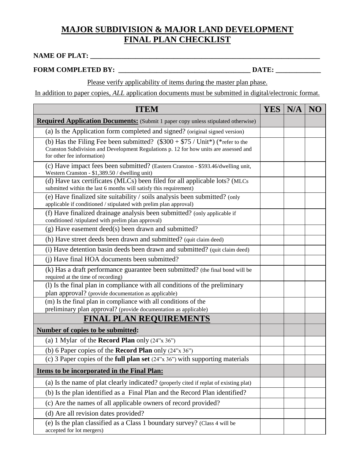## **MAJOR SUBDIVISION & MAJOR LAND DEVELOPMENT FINAL PLAN CHECKLIST**

## **NAME OF PLAT: \_\_\_\_\_\_\_\_\_\_\_\_\_\_\_\_\_\_\_\_\_\_\_\_\_\_\_\_\_\_\_\_\_\_\_\_\_\_\_\_\_\_\_\_\_\_\_\_\_\_\_\_\_\_\_\_\_\_\_\_\_\_\_\_\_\_**

## **FORM COMPLETED BY: \_\_\_\_\_\_\_\_\_\_\_\_\_\_\_\_\_\_\_\_\_\_\_\_\_\_\_\_\_\_\_\_\_\_\_\_\_\_ DATE: \_\_\_\_\_\_\_\_\_\_\_\_\_**

Please verify applicability of items during the master plan phase.

In addition to paper copies, *ALL* application documents must be submitted in digital/electronic format.

| <b>ITEM</b>                                                                                                                                                                                            | <b>YES</b> | N/A | NO |
|--------------------------------------------------------------------------------------------------------------------------------------------------------------------------------------------------------|------------|-----|----|
| <b>Required Application Documents:</b> (Submit 1 paper copy unless stipulated otherwise)                                                                                                               |            |     |    |
| (a) Is the Application form completed and signed? (original signed version)                                                                                                                            |            |     |    |
| (b) Has the Filing Fee been submitted? $(\$300 + \$75 / Unit^*)$ (*refer to the<br>Cranston Subdivision and Development Regulations p. 12 for how units are assessed and<br>for other fee information) |            |     |    |
| (c) Have impact fees been submitted? (Eastern Cranston - \$593.46/dwelling unit,<br>Western Cranston - \$1,389.50 / dwelling unit)                                                                     |            |     |    |
| (d) Have tax certificates (MLCs) been filed for all applicable lots? (MLCs<br>submitted within the last 6 months will satisfy this requirement)                                                        |            |     |    |
| (e) Have finalized site suitability / soils analysis been submitted? (only<br>applicable if conditioned / stipulated with prelim plan approval)                                                        |            |     |    |
| (f) Have finalized drainage analysis been submitted? (only applicable if<br>conditioned /stipulated with prelim plan approval)                                                                         |            |     |    |
| (g) Have easement deed(s) been drawn and submitted?                                                                                                                                                    |            |     |    |
| (h) Have street deeds been drawn and submitted? (quit claim deed)                                                                                                                                      |            |     |    |
| (i) Have detention basin deeds been drawn and submitted? (quit claim deed)                                                                                                                             |            |     |    |
| (i) Have final HOA documents been submitted?                                                                                                                                                           |            |     |    |
| (k) Has a draft performance guarantee been submitted? (the final bond will be<br>required at the time of recording)                                                                                    |            |     |    |
| (1) Is the final plan in compliance with all conditions of the preliminary<br>plan approval? (provide documentation as applicable)                                                                     |            |     |    |
| (m) Is the final plan in compliance with all conditions of the                                                                                                                                         |            |     |    |
| preliminary plan approval? (provide documentation as applicable)                                                                                                                                       |            |     |    |
| <b>FINAL PLAN REQUIREMENTS</b>                                                                                                                                                                         |            |     |    |
| Number of copies to be submitted:                                                                                                                                                                      |            |     |    |
| (a) 1 Mylar of the <b>Record Plan</b> only $(24" \times 36")$                                                                                                                                          |            |     |    |
| (b) 6 Paper copies of the <b>Record Plan</b> only $(24" \times 36")$                                                                                                                                   |            |     |    |
| (c) 3 Paper copies of the <b>full plan set</b> $(24^{\prime\prime}x 36^{\prime\prime})$ with supporting materials                                                                                      |            |     |    |
| <b>Items to be incorporated in the Final Plan:</b>                                                                                                                                                     |            |     |    |
| (a) Is the name of plat clearly indicated? (properly cited if replat of existing plat)                                                                                                                 |            |     |    |
| (b) Is the plan identified as a Final Plan and the Record Plan identified?                                                                                                                             |            |     |    |
| (c) Are the names of all applicable owners of record provided?                                                                                                                                         |            |     |    |
| (d) Are all revision dates provided?                                                                                                                                                                   |            |     |    |
| (e) Is the plan classified as a Class 1 boundary survey? (Class 4 will be<br>accepted for lot mergers)                                                                                                 |            |     |    |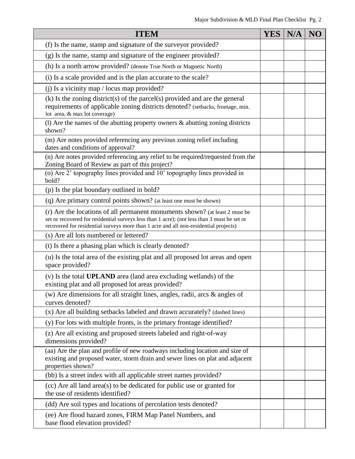| <b>ITEM</b>                                                                                                                                                                                                                                                        | YES <sup> </sup> | N/A | NO |
|--------------------------------------------------------------------------------------------------------------------------------------------------------------------------------------------------------------------------------------------------------------------|------------------|-----|----|
| (f) Is the name, stamp and signature of the surveyor provided?                                                                                                                                                                                                     |                  |     |    |
| (g) Is the name, stamp and signature of the engineer provided?                                                                                                                                                                                                     |                  |     |    |
| (h) Is a north arrow provided? (denote True North or Magnetic North)                                                                                                                                                                                               |                  |     |    |
| (i) Is a scale provided and is the plan accurate to the scale?                                                                                                                                                                                                     |                  |     |    |
| (j) Is a vicinity map / locus map provided?                                                                                                                                                                                                                        |                  |     |    |
| $(k)$ Is the zoning district(s) of the parcel(s) provided and are the general<br>requirements of applicable zoning districts denoted? (setbacks, frontage, min.<br>lot area, $&$ max lot coverage)                                                                 |                  |     |    |
| (1) Are the names of the abutting property owners $\&$ abutting zoning districts<br>shown?                                                                                                                                                                         |                  |     |    |
| (m) Are notes provided referencing any previous zoning relief including<br>dates and conditions of approval?                                                                                                                                                       |                  |     |    |
| (n) Are notes provided referencing any relief to be required/requested from the<br>Zoning Board of Review as part of this project?                                                                                                                                 |                  |     |    |
| (o) Are 2' topography lines provided and 10' topography lines provided in<br>bold?                                                                                                                                                                                 |                  |     |    |
| (p) Is the plat boundary outlined in bold?                                                                                                                                                                                                                         |                  |     |    |
| (q) Are primary control points shown? (at least one must be shown)                                                                                                                                                                                                 |                  |     |    |
| (r) Are the locations of all permanent monuments shown? (at least 2 must be<br>set or recovered for residential surveys less than 1 acre); (not less than 3 must be set or<br>recovered for residential surveys more than 1 acre and all non-residential projects) |                  |     |    |
| (s) Are all lots numbered or lettered?                                                                                                                                                                                                                             |                  |     |    |
| (t) Is there a phasing plan which is clearly denoted?                                                                                                                                                                                                              |                  |     |    |
| (u) Is the total area of the existing plat and all proposed lot areas and open<br>space provided?                                                                                                                                                                  |                  |     |    |
| (v) Is the total <b>UPLAND</b> area (land area excluding wetlands) of the<br>existing plat and all proposed lot areas provided?                                                                                                                                    |                  |     |    |
| (w) Are dimensions for all straight lines, angles, radii, arcs $\&$ angles of<br>curves denoted?                                                                                                                                                                   |                  |     |    |
| (x) Are all building setbacks labeled and drawn accurately? (dashed lines)                                                                                                                                                                                         |                  |     |    |
| (y) For lots with multiple fronts, is the primary frontage identified?                                                                                                                                                                                             |                  |     |    |
| (z) Are all existing and proposed streets labeled and right-of-way<br>dimensions provided?                                                                                                                                                                         |                  |     |    |
| (aa) Are the plan and profile of new roadways including location and size of<br>existing and proposed water, storm drain and sewer lines on plat and adjacent<br>properties shown?                                                                                 |                  |     |    |
| (bb) Is a street index with all applicable street names provided?                                                                                                                                                                                                  |                  |     |    |
| (cc) Are all land area(s) to be dedicated for public use or granted for<br>the use of residents identified?                                                                                                                                                        |                  |     |    |
| (dd) Are soil types and locations of percolation tests denoted?                                                                                                                                                                                                    |                  |     |    |
| (ee) Are flood hazard zones, FIRM Map Panel Numbers, and<br>base flood elevation provided?                                                                                                                                                                         |                  |     |    |